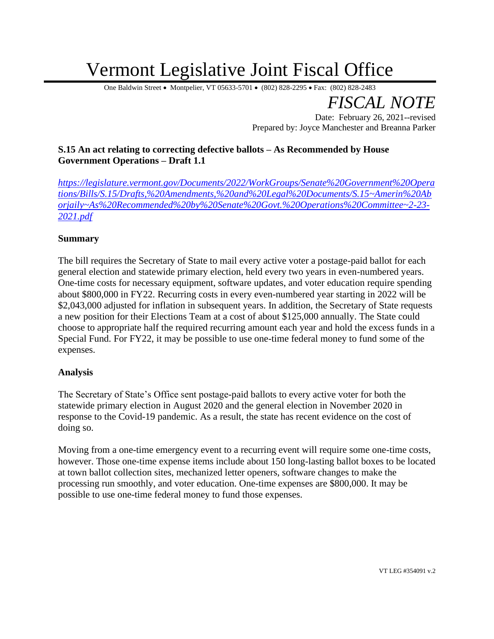# Vermont Legislative Joint Fiscal Office

One Baldwin Street • Montpelier, VT 05633-5701 • (802) 828-2295 • Fax: (802) 828-2483

*FISCAL NOTE*

Date: February 26, 2021--revised Prepared by: Joyce Manchester and Breanna Parker

## **S.15 An act relating to correcting defective ballots – As Recommended by House Government Operations – Draft 1.1**

*[https://legislature.vermont.gov/Documents/2022/WorkGroups/Senate%20Government%20Opera](https://legislature.vermont.gov/Documents/2022/WorkGroups/Senate%20Government%20Operations/Bills/S.15/Drafts,%20Amendments,%20and%20Legal%20Documents/S.15~Amerin%20Aborjaily~As%20Recommended%20by%20Senate%20Govt.%20Operations%20Committee~2-23-2021.pdf) [tions/Bills/S.15/Drafts,%20Amendments,%20and%20Legal%20Documents/S.15~Amerin%20Ab](https://legislature.vermont.gov/Documents/2022/WorkGroups/Senate%20Government%20Operations/Bills/S.15/Drafts,%20Amendments,%20and%20Legal%20Documents/S.15~Amerin%20Aborjaily~As%20Recommended%20by%20Senate%20Govt.%20Operations%20Committee~2-23-2021.pdf) [orjaily~As%20Recommended%20by%20Senate%20Govt.%20Operations%20Committee~2-23-](https://legislature.vermont.gov/Documents/2022/WorkGroups/Senate%20Government%20Operations/Bills/S.15/Drafts,%20Amendments,%20and%20Legal%20Documents/S.15~Amerin%20Aborjaily~As%20Recommended%20by%20Senate%20Govt.%20Operations%20Committee~2-23-2021.pdf) [2021.pdf](https://legislature.vermont.gov/Documents/2022/WorkGroups/Senate%20Government%20Operations/Bills/S.15/Drafts,%20Amendments,%20and%20Legal%20Documents/S.15~Amerin%20Aborjaily~As%20Recommended%20by%20Senate%20Govt.%20Operations%20Committee~2-23-2021.pdf)*

### **Summary**

The bill requires the Secretary of State to mail every active voter a postage-paid ballot for each general election and statewide primary election, held every two years in even-numbered years. One-time costs for necessary equipment, software updates, and voter education require spending about \$800,000 in FY22. Recurring costs in every even-numbered year starting in 2022 will be \$2,043,000 adjusted for inflation in subsequent years. In addition, the Secretary of State requests a new position for their Elections Team at a cost of about \$125,000 annually. The State could choose to appropriate half the required recurring amount each year and hold the excess funds in a Special Fund. For FY22, it may be possible to use one-time federal money to fund some of the expenses.

#### **Analysis**

The Secretary of State's Office sent postage-paid ballots to every active voter for both the statewide primary election in August 2020 and the general election in November 2020 in response to the Covid-19 pandemic. As a result, the state has recent evidence on the cost of doing so.

Moving from a one-time emergency event to a recurring event will require some one-time costs, however. Those one-time expense items include about 150 long-lasting ballot boxes to be located at town ballot collection sites, mechanized letter openers, software changes to make the processing run smoothly, and voter education. One-time expenses are \$800,000. It may be possible to use one-time federal money to fund those expenses.